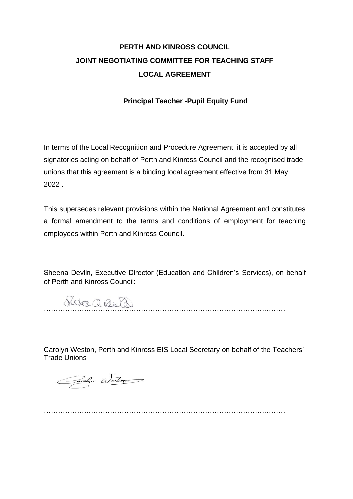# **PERTH AND KINROSS COUNCIL JOINT NEGOTIATING COMMITTEE FOR TEACHING STAFF LOCAL AGREEMENT**

### **Principal Teacher -Pupil Equity Fund**

In terms of the Local Recognition and Procedure Agreement, it is accepted by all signatories acting on behalf of Perth and Kinross Council and the recognised trade unions that this agreement is a binding local agreement effective from 31 May 2022 .

This supersedes relevant provisions within the National Agreement and constitutes a formal amendment to the terms and conditions of employment for teaching employees within Perth and Kinross Council.

Sheena Devlin, Executive Director (Education and Children's Services), on behalf of Perth and Kinross Council:

…………………………………………………………………………………………

Carolyn Weston, Perth and Kinross EIS Local Secretary on behalf of the Teachers' Trade Unions

Cardy Wester

…………………………………………………………………………………………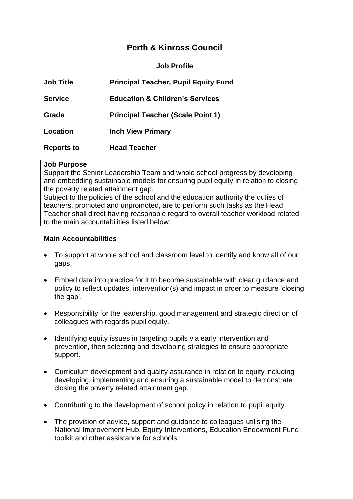# **Perth & Kinross Council**

**Job Profile** 

| <b>Job Title</b>  | <b>Principal Teacher, Pupil Equity Fund</b> |
|-------------------|---------------------------------------------|
| <b>Service</b>    | <b>Education &amp; Children's Services</b>  |
| Grade             | <b>Principal Teacher (Scale Point 1)</b>    |
| Location          | <b>Inch View Primary</b>                    |
| <b>Reports to</b> | <b>Head Teacher</b>                         |

#### **Job Purpose**

Support the Senior Leadership Team and whole school progress by developing and embedding sustainable models for ensuring pupil equity in relation to closing the poverty related attainment gap.

Subject to the policies of the school and the education authority the duties of teachers, promoted and unpromoted, are to perform such tasks as the Head Teacher shall direct having reasonable regard to overall teacher workload related to the main accountabilities listed below:

#### **Main Accountabilities**

- To support at whole school and classroom level to identify and know all of our gaps.
- Embed data into practice for it to become sustainable with clear guidance and policy to reflect updates, intervention(s) and impact in order to measure 'closing the gap'.
- Responsibility for the leadership, good management and strategic direction of colleagues with regards pupil equity.
- Identifying equity issues in targeting pupils via early intervention and prevention, then selecting and developing strategies to ensure appropriate support.
- Curriculum development and quality assurance in relation to equity including developing, implementing and ensuring a sustainable model to demonstrate closing the poverty related attainment gap.
- Contributing to the development of school policy in relation to pupil equity.
- The provision of advice, support and guidance to colleagues utilising the National Improvement Hub, Equity Interventions, Education Endowment Fund toolkit and other assistance for schools.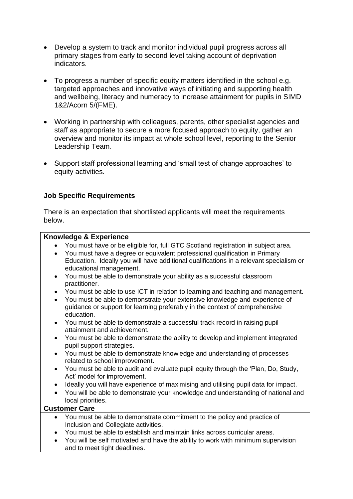- Develop a system to track and monitor individual pupil progress across all primary stages from early to second level taking account of deprivation indicators.
- To progress a number of specific equity matters identified in the school e.g. targeted approaches and innovative ways of initiating and supporting health and wellbeing, literacy and numeracy to increase attainment for pupils in SIMD 1&2/Acorn 5/(FME).
- Working in partnership with colleagues, parents, other specialist agencies and staff as appropriate to secure a more focused approach to equity, gather an overview and monitor its impact at whole school level, reporting to the Senior Leadership Team.
- Support staff professional learning and 'small test of change approaches' to equity activities.

## **Job Specific Requirements**

There is an expectation that shortlisted applicants will meet the requirements below.

#### **Knowledge & Experience**

- You must have or be eligible for, full GTC Scotland registration in subject area.
- You must have a degree or equivalent professional qualification in Primary Education. Ideally you will have additional qualifications in a relevant specialism or educational management.
- You must be able to demonstrate your ability as a successful classroom practitioner.
- You must be able to use ICT in relation to learning and teaching and management.
- You must be able to demonstrate your extensive knowledge and experience of guidance or support for learning preferably in the context of comprehensive education.
- You must be able to demonstrate a successful track record in raising pupil attainment and achievement.
- You must be able to demonstrate the ability to develop and implement integrated pupil support strategies.
- You must be able to demonstrate knowledge and understanding of processes related to school improvement.
- You must be able to audit and evaluate pupil equity through the 'Plan, Do, Study, Act' model for improvement.
- Ideally you will have experience of maximising and utilising pupil data for impact.
- You will be able to demonstrate your knowledge and understanding of national and local priorities.

#### **Customer Care**

- You must be able to demonstrate commitment to the policy and practice of Inclusion and Collegiate activities.
- You must be able to establish and maintain links across curricular areas.
- You will be self motivated and have the ability to work with minimum supervision and to meet tight deadlines.